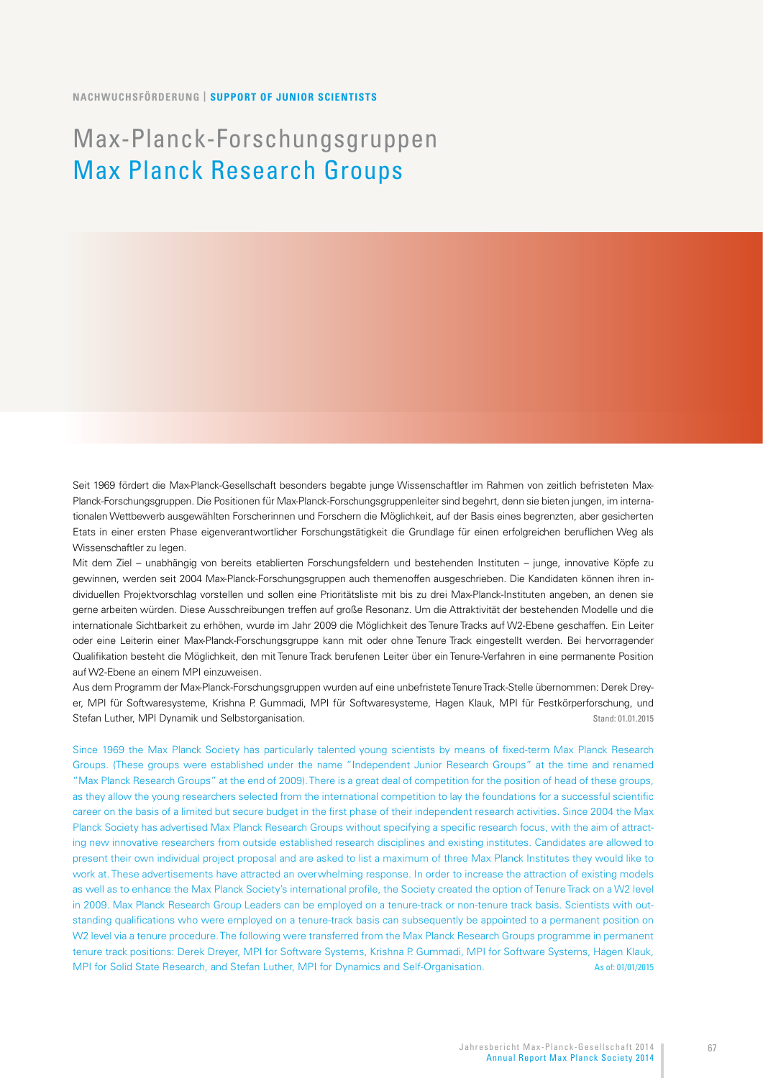#### **NACHWUCHSFÖRDERUNG | SUPPORT OF JUNIOR SCIENTISTS**

# Max-Planck-Forschungsgruppen Max Planck Research Groups

Seit 1969 fördert die Max-Planck-Gesellschaft besonders begabte junge Wissenschaftler im Rahmen von zeitlich befristeten Max-Planck-Forschungsgruppen. Die Positionen für Max-Planck-Forschungsgruppenleiter sind begehrt, denn sie bieten jungen, im internationalen Wettbewerb ausgewählten Forscherinnen und Forschern die Möglichkeit, auf der Basis eines begrenzten, aber gesicherten Etats in einer ersten Phase eigenverantwortlicher Forschungstätigkeit die Grundlage für einen erfolgreichen beruflichen Weg als Wissenschaftler zu legen.

Mit dem Ziel – unabhängig von bereits etablierten Forschungsfeldern und bestehenden Instituten – junge, innovative Köpfe zu gewinnen, werden seit 2004 Max-Planck-Forschungsgruppen auch themenoffen ausgeschrieben. Die Kandidaten können ihren individuellen Projektvorschlag vorstellen und sollen eine Prioritätsliste mit bis zu drei Max-Planck-Instituten angeben, an denen sie gerne arbeiten würden. Diese Ausschreibungen treffen auf große Resonanz. Um die Attraktivität der bestehenden Modelle und die internationale Sichtbarkeit zu erhöhen, wurde im Jahr 2009 die Möglichkeit des Tenure Tracks auf W2-Ebene geschaffen. Ein Leiter oder eine Leiterin einer Max-Planck-Forschungsgruppe kann mit oder ohne Tenure Track eingestellt werden. Bei hervorragender Qualifikation besteht die Möglichkeit, den mit Tenure Track berufenen Leiter über ein Tenure-Verfahren in eine permanente Position auf W2-Ebene an einem MPI einzuweisen.

Aus dem Programm der Max-Planck-Forschungsgruppen wurden auf eine unbefristete Tenure Track-Stelle übernommen: Derek Dreyer, MPI für Softwaresysteme, Krishna P. Gummadi, MPI für Softwaresysteme, Hagen Klauk, MPI für Festkörperforschung, und Stefan Luther, MPI Dynamik und Selbstorganisation. Stand: 01.01.2015

Since 1969 the Max Planck Society has particularly talented young scientists by means of fixed-term Max Planck Research Groups. (These groups were established under the name "Independent Junior Research Groups" at the time and renamed "Max Planck Research Groups" at the end of 2009). There is a great deal of competition for the position of head of these groups, as they allow the young researchers selected from the international competition to lay the foundations for a successful scientific career on the basis of a limited but secure budget in the first phase of their independent research activities. Since 2004 the Max Planck Society has advertised Max Planck Research Groups without specifying a specific research focus, with the aim of attracting new innovative researchers from outside established research disciplines and existing institutes. Candidates are allowed to present their own individual project proposal and are asked to list a maximum of three Max Planck Institutes they would like to work at. These advertisements have attracted an overwhelming response. In order to increase the attraction of existing models as well as to enhance the Max Planck Society's international profile, the Society created the option of Tenure Track on a W2 level in 2009. Max Planck Research Group Leaders can be employed on a tenure-track or non-tenure track basis. Scientists with outstanding qualifications who were employed on a tenure-track basis can subsequently be appointed to a permanent position on W2 level via a tenure procedure. The following were transferred from the Max Planck Research Groups programme in permanent tenure track positions: Derek Dreyer, MPI for Software Systems, Krishna P. Gummadi, MPI for Software Systems, Hagen Klauk, MPI for Solid State Research, and Stefan Luther, MPI for Dynamics and Self-Organisation. As of: 01/01/2015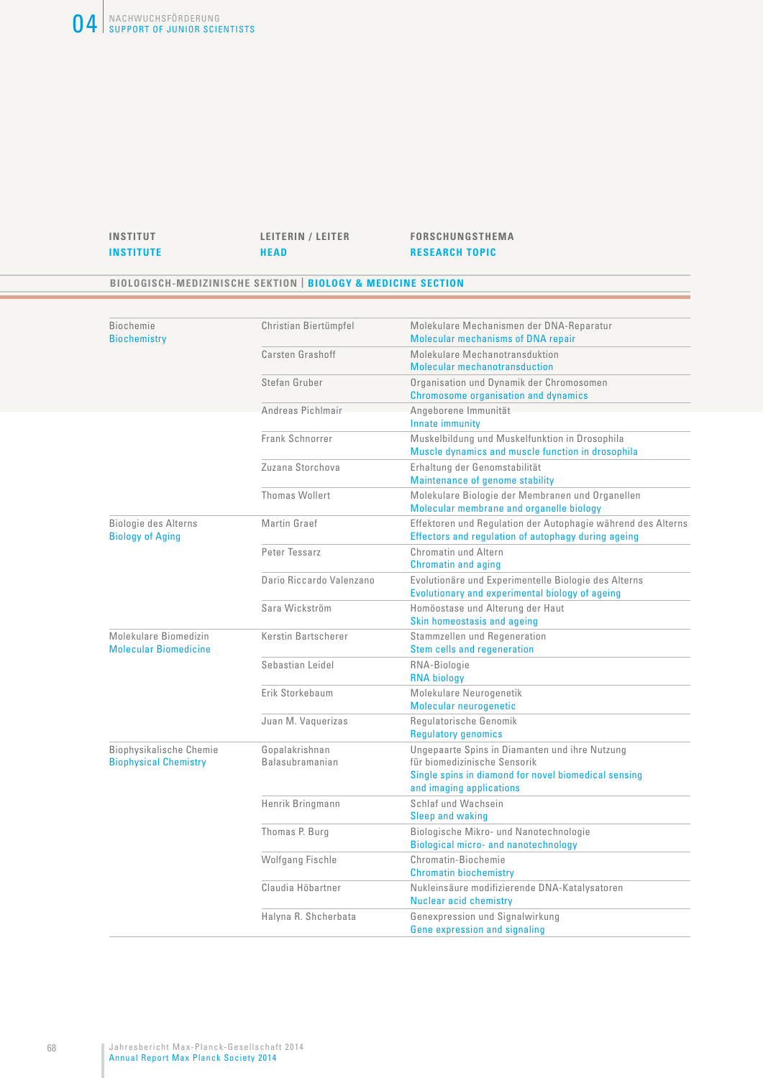

#### **BIOLOGISCH-MEDIZINISCHE SEKTION | BIOLOGY & MEDICINE SECTION**

| <b>Biochemie</b><br><b>Biochemistry</b>                 | Christian Biertümpfel             | Molekulare Mechanismen der DNA-Reparatur<br>Molecular mechanisms of DNA repair                                                                                     |
|---------------------------------------------------------|-----------------------------------|--------------------------------------------------------------------------------------------------------------------------------------------------------------------|
|                                                         | Carsten Grashoff                  | Molekulare Mechanotransduktion<br><b>Molecular mechanotransduction</b>                                                                                             |
|                                                         | Stefan Gruber                     | Organisation und Dynamik der Chromosomen<br>Chromosome organisation and dynamics                                                                                   |
|                                                         | Andreas Pichlmair                 | Angeborene Immunität<br>Innate immunity                                                                                                                            |
|                                                         | Frank Schnorrer                   | Muskelbildung und Muskelfunktion in Drosophila<br>Muscle dynamics and muscle function in drosophila                                                                |
|                                                         | Zuzana Storchova                  | Erhaltung der Genomstabilität<br>Maintenance of genome stability                                                                                                   |
|                                                         | Thomas Wollert                    | Molekulare Biologie der Membranen und Organellen<br>Molecular membrane and organelle biology                                                                       |
| Biologie des Alterns<br><b>Biology of Aging</b>         | Martin Graef                      | Effektoren und Regulation der Autophagie während des Alterns<br>Effectors and regulation of autophagy during ageing                                                |
|                                                         | Peter Tessarz                     | Chromatin und Altern<br><b>Chromatin and aging</b>                                                                                                                 |
|                                                         | Dario Riccardo Valenzano          | Evolutionäre und Experimentelle Biologie des Alterns<br>Evolutionary and experimental biology of ageing                                                            |
|                                                         | Sara Wickström                    | Homöostase und Alterung der Haut<br>Skin homeostasis and ageing                                                                                                    |
| Molekulare Biomedizin<br><b>Molecular Biomedicine</b>   | Kerstin Bartscherer               | Stammzellen und Regeneration<br>Stem cells and regeneration                                                                                                        |
|                                                         | Sebastian Leidel                  | RNA-Biologie<br><b>RNA biology</b>                                                                                                                                 |
|                                                         | Erik Storkebaum                   | Molekulare Neurogenetik<br>Molecular neurogenetic                                                                                                                  |
|                                                         | Juan M. Vaquerizas                | Requlatorische Genomik<br><b>Regulatory genomics</b>                                                                                                               |
| Biophysikalische Chemie<br><b>Biophysical Chemistry</b> | Gopalakrishnan<br>Balasubramanian | Ungepaarte Spins in Diamanten und ihre Nutzung<br>für biomedizinische Sensorik<br>Single spins in diamond for novel biomedical sensing<br>and imaging applications |
|                                                         | Henrik Bringmann                  | Schlaf und Wachsein<br><b>Sleep and waking</b>                                                                                                                     |
|                                                         | Thomas P. Burg                    | Biologische Mikro- und Nanotechnologie<br><b>Biological micro- and nanotechnology</b>                                                                              |
|                                                         | Wolfgang Fischle                  | Chromatin-Biochemie<br><b>Chromatin biochemistry</b>                                                                                                               |
|                                                         | Claudia Höbartner                 | Nukleinsäure modifizierende DNA-Katalysatoren<br>Nuclear acid chemistry                                                                                            |
|                                                         | Halyna R. Shcherbata              | Genexpression und Signalwirkung<br>Gene expression and signaling                                                                                                   |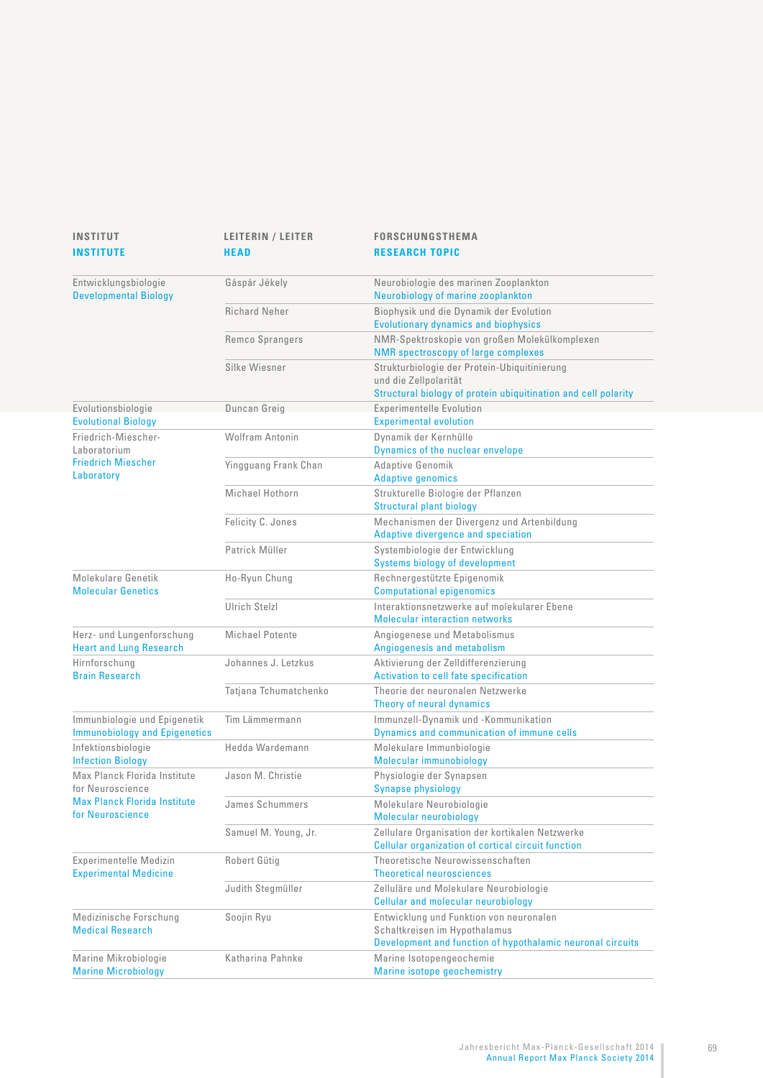| <b>INSTITUT</b><br><b>INSTITUTE</b>                                  | <b>LEITERIN / LEITER</b><br><b>HEAD</b> | <b>FORSCHUNGSTHEMA</b><br><b>RESEARCH TOPIC</b>                                                                                         |
|----------------------------------------------------------------------|-----------------------------------------|-----------------------------------------------------------------------------------------------------------------------------------------|
| Entwicklungsbiologie<br><b>Developmental Biology</b>                 | Gáspár Jékely                           | Neurobiologie des marinen Zooplankton<br>Neurobiology of marine zooplankton                                                             |
|                                                                      | <b>Richard Neher</b>                    | Biophysik und die Dynamik der Evolution<br><b>Evolutionary dynamics and biophysics</b>                                                  |
|                                                                      | Remco Sprangers                         | NMR-Spektroskopie von großen Molekülkomplexen<br><b>NMR</b> spectroscopy of large complexes                                             |
|                                                                      | Silke Wiesner                           | Strukturbiologie der Protein-Ubiquitinierung<br>und die Zellpolarität<br>Structural biology of protein ubiquitination and cell polarity |
| Evolutionsbiologie<br><b>Evolutional Biology</b>                     | Duncan Greig                            | Experimentelle Evolution<br><b>Experimental evolution</b>                                                                               |
| Friedrich-Miescher-<br>Laboratorium                                  | Wolfram Antonin                         | Dynamik der Kernhülle<br>Dynamics of the nuclear envelope                                                                               |
| <b>Friedrich Miescher</b><br>Laboratory                              | Yingguang Frank Chan                    | Adaptive Genomik<br><b>Adaptive genomics</b>                                                                                            |
|                                                                      | Michael Hothorn                         | Strukturelle Biologie der Pflanzen<br><b>Structural plant biology</b>                                                                   |
|                                                                      | Felicity C. Jones                       | Mechanismen der Divergenz und Artenbildung<br>Adaptive divergence and speciation                                                        |
|                                                                      | Patrick Müller                          | Systembiologie der Entwicklung<br><b>Systems biology of development</b>                                                                 |
| Molekulare Genetik<br><b>Molecular Genetics</b>                      | Ho-Ryun Chung                           | Rechnergestützte Epigenomik<br><b>Computational epigenomics</b>                                                                         |
|                                                                      | <b>Ulrich Stelzl</b>                    | Interaktionsnetzwerke auf molekularer Ebene<br><b>Molecular interaction networks</b>                                                    |
| Herz- und Lungenforschung<br><b>Heart and Lung Research</b>          | Michael Potente                         | Angiogenese und Metabolismus<br>Angiogenesis and metabolism                                                                             |
| Hirnforschung<br><b>Brain Research</b>                               | Johannes J. Letzkus                     | Aktivierung der Zelldifferenzierung<br>Activation to cell fate specification                                                            |
|                                                                      | Tatjana Tchumatchenko                   | Theorie der neuronalen Netzwerke<br>Theory of neural dynamics                                                                           |
| Immunbiologie und Epigenetik<br><b>Immunobiology and Epigenetics</b> | Tim Lämmermann                          | Immunzell-Dynamik und -Kommunikation<br>Dynamics and communication of immune cells                                                      |
| Infektionsbiologie<br><b>Infection Biology</b>                       | Hedda Wardemann                         | Molekulare Immunbiologie<br>Molecular immunobiology                                                                                     |
| Max Planck Florida Institute<br>for Neuroscience                     | Jason M. Christie                       | Physiologie der Synapsen<br><b>Synapse physiology</b>                                                                                   |
| <b>Max Planck Florida Institute</b><br>for Neuroscience              | James Schummers                         | Molekulare Neurobiologie<br>Molecular neurobiology                                                                                      |
|                                                                      | Samuel M. Young, Jr.                    | Zellulare Organisation der kortikalen Netzwerke<br>Cellular organization of cortical circuit function                                   |
| Experimentelle Medizin<br><b>Experimental Medicine</b>               | Robert Gütig                            | Theoretische Neurowissenschaften<br><b>Theoretical neurosciences</b>                                                                    |
|                                                                      | Judith Stegmüller                       | Zelluläre und Molekulare Neurobiologie<br><b>Cellular and molecular neurobiology</b>                                                    |
| Medizinische Forschung<br><b>Medical Research</b>                    | Soojin Ryu                              | Entwicklung und Funktion von neuronalen<br>Schaltkreisen im Hypothalamus<br>Development and function of hypothalamic neuronal circuits  |
| Marine Mikrobiologie<br><b>Marine Microbiology</b>                   | Katharina Pahnke                        | Marine Isotopengeochemie<br>Marine isotope geochemistry                                                                                 |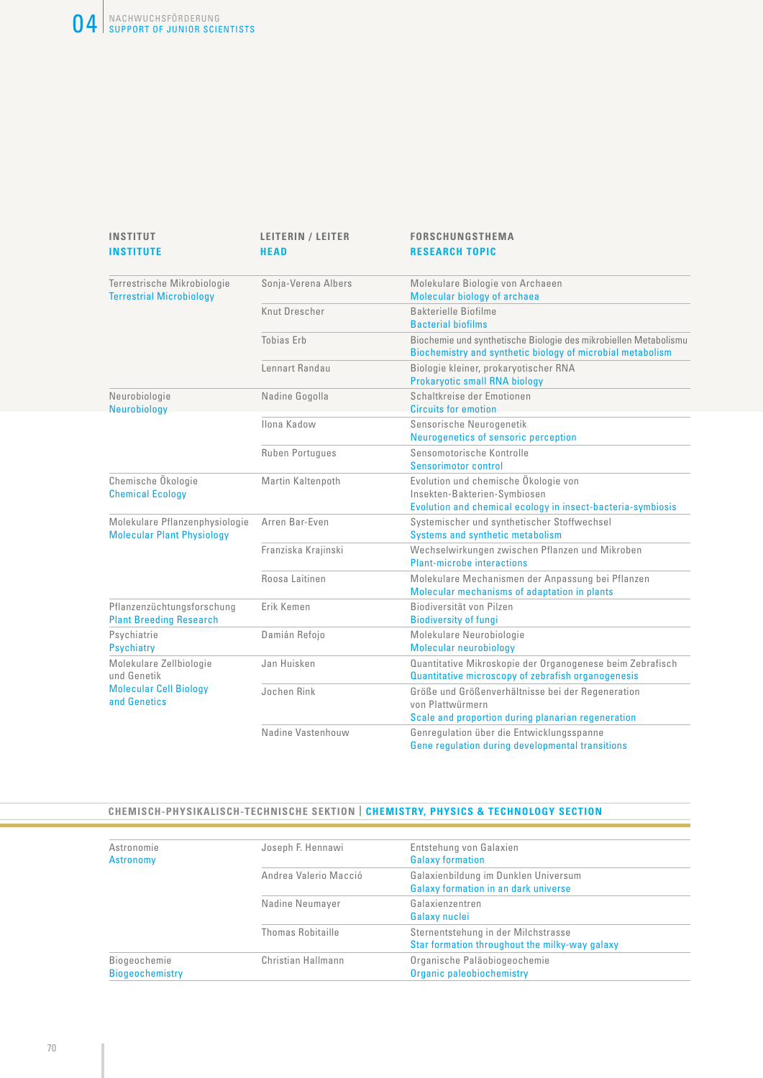| <b>INSTITUT</b><br><b>INSTITUTE</b>                                 | <b>LEITERIN / LEITER</b><br><b>HEAD</b> | <b>FORSCHUNGSTHEMA</b><br><b>RESEARCH TOPIC</b>                                                                                     |
|---------------------------------------------------------------------|-----------------------------------------|-------------------------------------------------------------------------------------------------------------------------------------|
| Terrestrische Mikrobiologie<br><b>Terrestrial Microbiology</b>      | Sonja-Verena Albers                     | Molekulare Biologie von Archaeen<br>Molecular biology of archaea                                                                    |
|                                                                     | Knut Drescher                           | Bakterielle Biofilme<br><b>Bacterial biofilms</b>                                                                                   |
|                                                                     | <b>Tobias Erb</b>                       | Biochemie und synthetische Biologie des mikrobiellen Metabolismu<br>Biochemistry and synthetic biology of microbial metabolism      |
|                                                                     | Lennart Randau                          | Biologie kleiner, prokaryotischer RNA<br>Prokaryotic small RNA biology                                                              |
| Neurobiologie<br>Neurobiology                                       | Nadine Gogolla                          | Schaltkreise der Emotionen<br><b>Circuits for emotion</b>                                                                           |
|                                                                     | Ilona Kadow                             | Sensorische Neurogenetik<br>Neurogenetics of sensoric perception                                                                    |
|                                                                     | <b>Ruben Portugues</b>                  | Sensomotorische Kontrolle<br>Sensorimotor control                                                                                   |
| Chemische Ökologie<br><b>Chemical Ecology</b>                       | Martin Kaltenpoth                       | Evolution und chemische Ökologie von<br>Insekten-Bakterien-Symbiosen<br>Evolution and chemical ecology in insect-bacteria-symbiosis |
| Molekulare Pflanzenphysiologie<br><b>Molecular Plant Physiology</b> | Arren Bar-Even                          | Systemischer und synthetischer Stoffwechsel<br>Systems and synthetic metabolism                                                     |
|                                                                     | Franziska Krajinski                     | Wechselwirkungen zwischen Pflanzen und Mikroben<br><b>Plant-microbe interactions</b>                                                |
|                                                                     | Roosa Laitinen                          | Molekulare Mechanismen der Anpassung bei Pflanzen<br>Molecular mechanisms of adaptation in plants                                   |
| Pflanzenzüchtungsforschung<br><b>Plant Breeding Research</b>        | Erik Kemen                              | Biodiversität von Pilzen<br><b>Biodiversity of fungi</b>                                                                            |
| Psychiatrie<br><b>Psychiatry</b>                                    | Damián Refojo                           | Molekulare Neurobiologie<br>Molecular neurobiology                                                                                  |
| Molekulare Zellbiologie<br>und Genetik                              | Jan Huisken                             | Quantitative Mikroskopie der Organogenese beim Zebrafisch<br>Quantitative microscopy of zebrafish organogenesis                     |
| <b>Molecular Cell Biology</b><br>and Genetics                       | Jochen Rink                             | Größe und Größenverhältnisse bei der Regeneration<br>von Plattwürmern<br>Scale and proportion during planarian regeneration         |
|                                                                     | Nadine Vastenhouw                       | Genregulation über die Entwicklungsspanne<br>Gene regulation during developmental transitions                                       |

### **CHEMISCH-PHYSIKALISCH-TECHNISCHE SEKTION | CHEMISTRY, PHYSICS & TECHNOLOGY SECTION**

| Astronomie<br>Astronomy                | Joseph F. Hennawi        | Entstehung von Galaxien<br><b>Galaxy formation</b>                                    |
|----------------------------------------|--------------------------|---------------------------------------------------------------------------------------|
|                                        | Andrea Valerio Macció    | Galaxienbildung im Dunklen Universum<br>Galaxy formation in an dark universe          |
|                                        | Nadine Neumayer          | Galaxienzentren<br>Galaxy nuclei                                                      |
|                                        | <b>Thomas Robitaille</b> | Sternentstehung in der Milchstrasse<br>Star formation throughout the milky-way galaxy |
| Biogeochemie<br><b>Biogeochemistry</b> | Christian Hallmann       | Organische Paläobiogeochemie<br>Organic paleobiochemistry                             |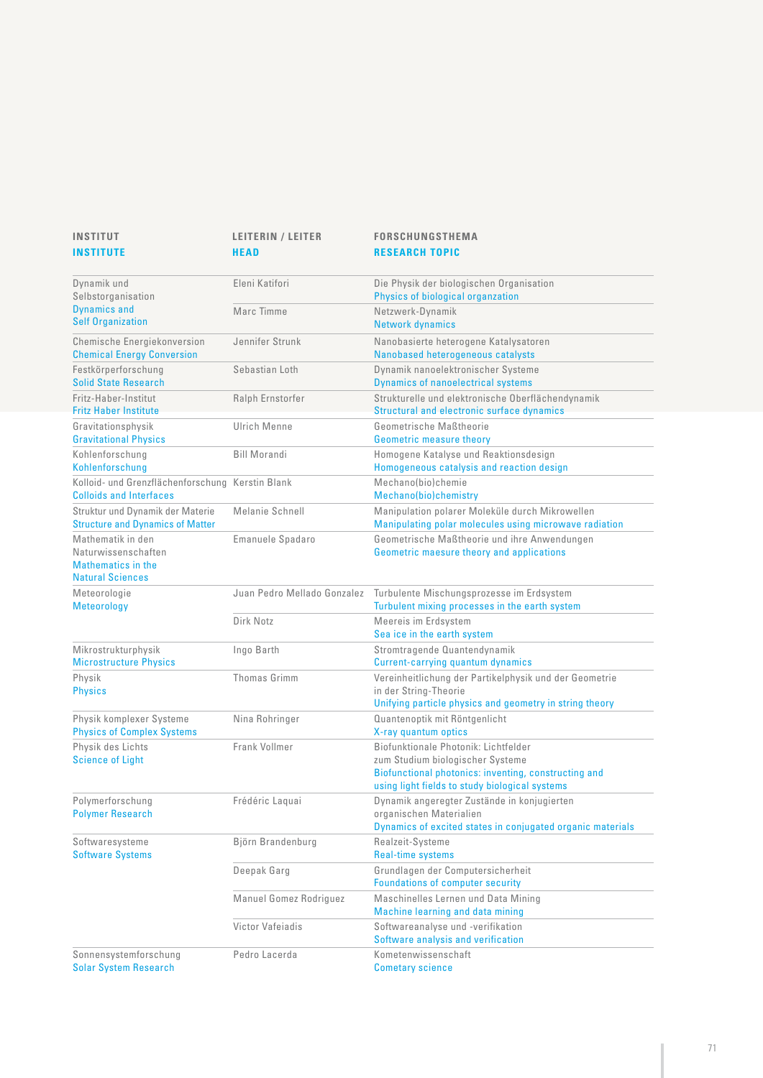| INSTITUT<br><b>INSTITUTE</b>                                                                     | LEITERIN / LEITER<br><b>HEAD</b> | <b>FORSCHUNGSTHEMA</b><br><b>RESEARCH TOPIC</b>                                                                                                                                    |
|--------------------------------------------------------------------------------------------------|----------------------------------|------------------------------------------------------------------------------------------------------------------------------------------------------------------------------------|
| Dynamik und<br>Selbstorganisation                                                                | Eleni Katifori                   | Die Physik der biologischen Organisation<br>Physics of biological organzation                                                                                                      |
| <b>Dynamics and</b><br><b>Self Organization</b>                                                  | Marc Timme                       | Netzwerk-Dynamik<br><b>Network dynamics</b>                                                                                                                                        |
| Chemische Energiekonversion<br><b>Chemical Energy Conversion</b>                                 | Jennifer Strunk                  | Nanobasierte heterogene Katalysatoren<br>Nanobased heterogeneous catalysts                                                                                                         |
| Festkörperforschung<br><b>Solid State Research</b>                                               | Sebastian Loth                   | Dynamik nanoelektronischer Systeme<br><b>Dynamics of nanoelectrical systems</b>                                                                                                    |
| Fritz-Haber-Institut<br><b>Fritz Haber Institute</b>                                             | Ralph Ernstorfer                 | Strukturelle und elektronische Oberflächendynamik<br>Structural and electronic surface dynamics                                                                                    |
| Gravitationsphysik<br><b>Gravitational Physics</b>                                               | Ulrich Menne                     | Geometrische Maßtheorie<br><b>Geometric measure theory</b>                                                                                                                         |
| Kohlenforschung<br>Kohlenforschung                                                               | <b>Bill Morandi</b>              | Homogene Katalyse und Reaktionsdesign<br>Homogeneous catalysis and reaction design                                                                                                 |
| Kolloid- und Grenzflächenforschung Kerstin Blank<br><b>Colloids and Interfaces</b>               |                                  | Mechano(bio)chemie<br>Mechano(bio)chemistry                                                                                                                                        |
| Struktur und Dynamik der Materie<br><b>Structure and Dynamics of Matter</b>                      | Melanie Schnell                  | Manipulation polarer Moleküle durch Mikrowellen<br>Manipulating polar molecules using microwave radiation                                                                          |
| Mathematik in den<br>Naturwissenschaften<br><b>Mathematics in the</b><br><b>Natural Sciences</b> | Emanuele Spadaro                 | Geometrische Maßtheorie und ihre Anwendungen<br>Geometric maesure theory and applications                                                                                          |
| Meteorologie<br><b>Meteorology</b>                                                               | Juan Pedro Mellado Gonzalez      | Turbulente Mischungsprozesse im Erdsystem<br>Turbulent mixing processes in the earth system                                                                                        |
|                                                                                                  | Dirk Notz                        | Meereis im Erdsystem<br>Sea ice in the earth system                                                                                                                                |
| Mikrostrukturphysik<br><b>Microstructure Physics</b>                                             | Ingo Barth                       | Stromtragende Quantendynamik<br>Current-carrying quantum dynamics                                                                                                                  |
| Physik<br><b>Physics</b>                                                                         | Thomas Grimm                     | Vereinheitlichung der Partikelphysik und der Geometrie<br>in der String-Theorie<br>Unifying particle physics and geometry in string theory                                         |
| Physik komplexer Systeme<br><b>Physics of Complex Systems</b>                                    | Nina Rohringer                   | Quantenoptik mit Röntgenlicht<br>X-ray quantum optics                                                                                                                              |
| Physik des Lichts<br><b>Science of Light</b>                                                     | Frank Vollmer                    | Biofunktionale Photonik: Lichtfelder<br>zum Studium biologischer Systeme<br>Biofunctional photonics: inventing, constructing and<br>using light fields to study biological systems |
| Polymerforschung<br><b>Polymer Research</b>                                                      | Frédéric Laguai                  | Dynamik angeregter Zustände in konjugierten<br>organischen Materialien<br>Dynamics of excited states in conjugated organic materials                                               |
| Softwaresysteme<br><b>Software Systems</b>                                                       | Björn Brandenburg                | Realzeit-Systeme<br><b>Real-time systems</b>                                                                                                                                       |
|                                                                                                  | Deepak Garg                      | Grundlagen der Computersicherheit<br><b>Foundations of computer security</b>                                                                                                       |
|                                                                                                  | Manuel Gomez Rodriguez           | Maschinelles Lernen und Data Mining<br>Machine learning and data mining                                                                                                            |
|                                                                                                  | Victor Vafeiadis                 | Softwareanalyse und -verifikation<br>Software analysis and verification                                                                                                            |
| Sonnensystemforschung<br><b>Solar System Research</b>                                            | Pedro Lacerda                    | Kometenwissenschaft<br><b>Cometary science</b>                                                                                                                                     |

Solar System Research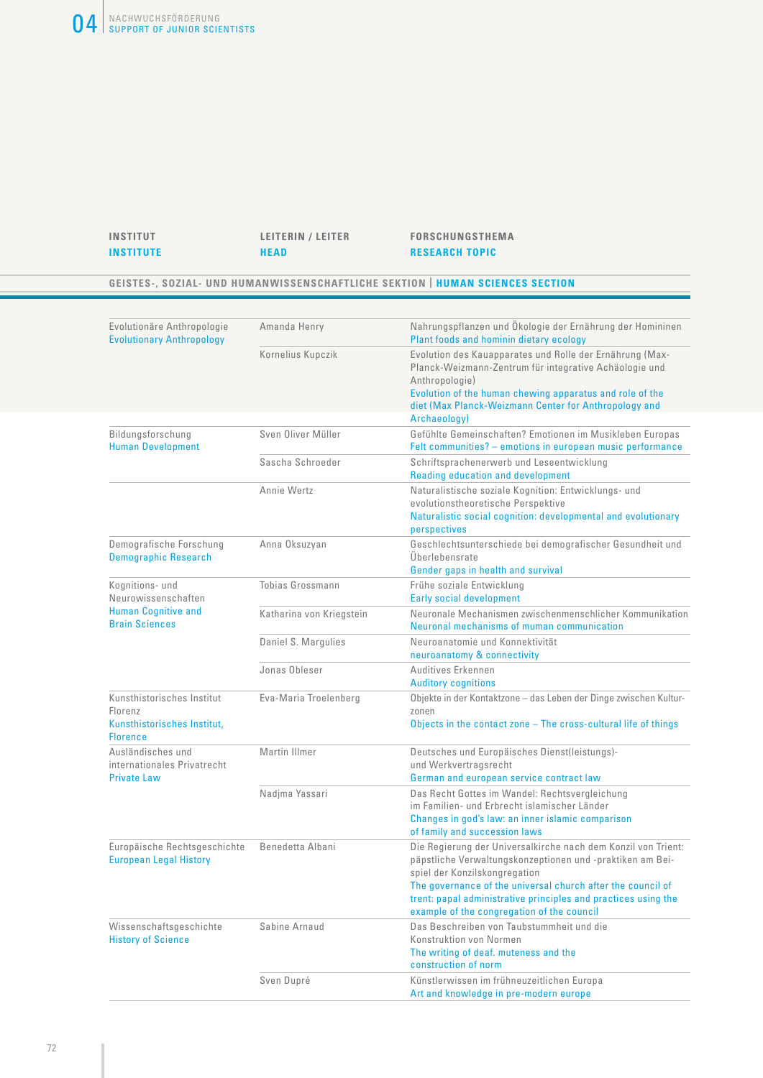#### **INSTITUT LEITERIN / LEITER FORSCHUNGSTHEMA INSTITUTE HEAD RESEARCH TOPIC**

#### **GEISTES-, SOZIAL- UND HUMANWISSENSCHAFTLICHE SEKTION | HUMAN SCIENCES SECTION**

| Evolutionäre Anthropologie<br><b>Evolutionary Anthropology</b> | Amanda Henry             | Nahrungspflanzen und Ökologie der Ernährung der Homininen<br>Plant foods and hominin dietary ecology                                                                                             |
|----------------------------------------------------------------|--------------------------|--------------------------------------------------------------------------------------------------------------------------------------------------------------------------------------------------|
|                                                                | Kornelius Kupczik        | Evolution des Kauapparates und Rolle der Ernährung (Max-<br>Planck-Weizmann-Zentrum für integrative Achäologie und<br>Anthropologie)<br>Evolution of the human chewing apparatus and role of the |
|                                                                |                          | diet (Max Planck-Weizmann Center for Anthropology and                                                                                                                                            |
|                                                                |                          | Archaeology)                                                                                                                                                                                     |
| Bildungsforschung<br><b>Human Development</b>                  | Sven Oliver Müller       | Gefühlte Gemeinschaften? Emotionen im Musikleben Europas<br>Felt communities? - emotions in european music performance                                                                           |
|                                                                | Sascha Schroeder         | Schriftsprachenerwerb und Leseentwicklung<br><b>Reading education and development</b>                                                                                                            |
|                                                                | Annie Wertz              | Naturalistische soziale Kognition: Entwicklungs- und<br>evolutionstheoretische Perspektive<br>Naturalistic social cognition: developmental and evolutionary                                      |
|                                                                |                          | perspectives                                                                                                                                                                                     |
| Demografische Forschung<br><b>Demographic Research</b>         | Anna Oksuzyan            | Geschlechtsunterschiede bei demografischer Gesundheit und<br>Überlebensrate                                                                                                                      |
|                                                                |                          | Gender gaps in health and survival                                                                                                                                                               |
| Kognitions- und<br>Neurowissenschaften                         | Tobias Grossmann         | Frühe soziale Entwicklung<br><b>Early social development</b>                                                                                                                                     |
| <b>Human Cognitive and</b><br><b>Brain Sciences</b>            | Katharina von Kriegstein | Neuronale Mechanismen zwischenmenschlicher Kommunikation<br>Neuronal mechanisms of muman communication                                                                                           |
|                                                                | Daniel S. Margulies      | Neuroanatomie und Konnektivität<br>neuroanatomy & connectivity                                                                                                                                   |
|                                                                | Jonas Obleser            | Auditives Erkennen<br><b>Auditory cognitions</b>                                                                                                                                                 |
| Kunsthistorisches Institut<br>Florenz                          | Eva-Maria Troelenberg    | Objekte in der Kontaktzone - das Leben der Dinge zwischen Kultur-<br>zonen                                                                                                                       |
| Kunsthistorisches Institut,<br><b>Florence</b>                 |                          | Objects in the contact zone - The cross-cultural life of things                                                                                                                                  |
| Ausländisches und<br>internationales Privatrecht               | Martin Illmer            | Deutsches und Europäisches Dienst(leistungs)-<br>und Werkvertragsrecht                                                                                                                           |
| <b>Private Law</b>                                             |                          | German and european service contract law                                                                                                                                                         |
|                                                                | Nadjma Yassari           | Das Recht Gottes im Wandel: Rechtsvergleichung<br>im Familien- und Erbrecht islamischer Länder<br>Changes in god's law: an inner islamic comparison                                              |
|                                                                |                          | of family and succession laws                                                                                                                                                                    |
| Europäische Rechtsgeschichte<br><b>European Legal History</b>  | Benedetta Albani         | Die Regierung der Universalkirche nach dem Konzil von Trient:<br>päpstliche Verwaltungskonzeptionen und -praktiken am Bei-<br>spiel der Konzilskongregation                                      |
|                                                                |                          | The governance of the universal church after the council of<br>trent: papal administrative principles and practices using the<br>example of the congregation of the council                      |
| Wissenschaftsgeschichte                                        | Sabine Arnaud            | Das Beschreiben von Taubstummheit und die                                                                                                                                                        |
| <b>History of Science</b>                                      |                          | Konstruktion von Normen                                                                                                                                                                          |
|                                                                |                          | The writing of deaf. muteness and the<br>construction of norm                                                                                                                                    |
|                                                                | Sven Dupré               | Künstlerwissen im frühneuzeitlichen Europa<br>Art and knowledge in pre-modern europe                                                                                                             |